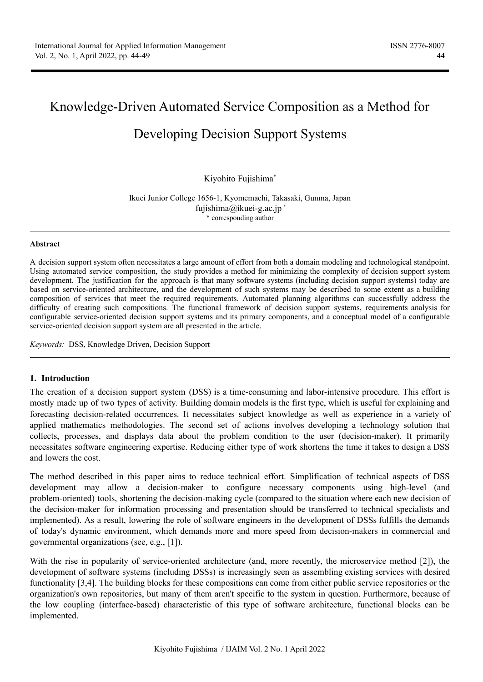# Knowledge-Driven Automated Service Composition as a Method for

# Developing Decision Support Systems

# Kiyohito Fujishima \*

Ikuei Junior College 1656-1, Kyomemachi, Takasaki, Gunma, Japan fujishima@ikuei-g.ac.jp \* \* corresponding author

#### **Abstract**

A decision support system often necessitates a large amount of effort from both a domain modeling and technological standpoint. Using automated service composition, the study provides a method for minimizing the complexity of decision support system development. The justification for the approach is that many software systems (including decision support systems) today are based on service-oriented architecture, and the development of such systems may be described to some extent as a building composition of services that meet the required requirements. Automated planning algorithms can successfully address the difficulty of creating such compositions. The functional framework of decision support systems, requirements analysis for configurable service-oriented decision support systems and its primary components, and a conceptual model of a configurable service-oriented decision support system are all presented in the article.

*Keywords:* DSS, Knowledge Driven, Decision Support

#### **1. Introduction**

The creation of a decision support system (DSS) is a time-consuming and labor-intensive procedure. This effort is mostly made up of two types of activity. Building domain models is the first type, which is useful for explaining and forecasting decision-related occurrences. It necessitates subject knowledge as well as experience in a variety of applied mathematics methodologies. The second set of actions involves developing a technology solution that collects, processes, and displays data about the problem condition to the user (decision-maker). It primarily necessitates software engineering expertise. Reducing either type of work shortens the time it takes to design a DSS and lowers the cost.

The method described in this paper aims to reduce technical effort. Simplification of technical aspects of DSS development may allow a decision-maker to configure necessary components using high-level (and problem-oriented) tools, shortening the decision-making cycle (compared to the situation where each new decision of the decision-maker for information processing and presentation should be transferred to technical specialists and implemented). As a result, lowering the role of software engineers in the development of DSSs fulfills the demands of today's dynamic environment, which demands more and more speed from decision-makers in commercial and governmental organizations (see, e.g., [1]).

With the rise in popularity of service-oriented architecture (and, more recently, the microservice method [2]), the development of software systems (including DSSs) is increasingly seen as assembling existing services with desired functionality [3,4]. The building blocks for these compositions can come from either public service repositories or the organization's own repositories, but many of them aren't specific to the system in question. Furthermore, because of the low coupling (interface-based) characteristic of this type of software architecture, functional blocks can be implemented.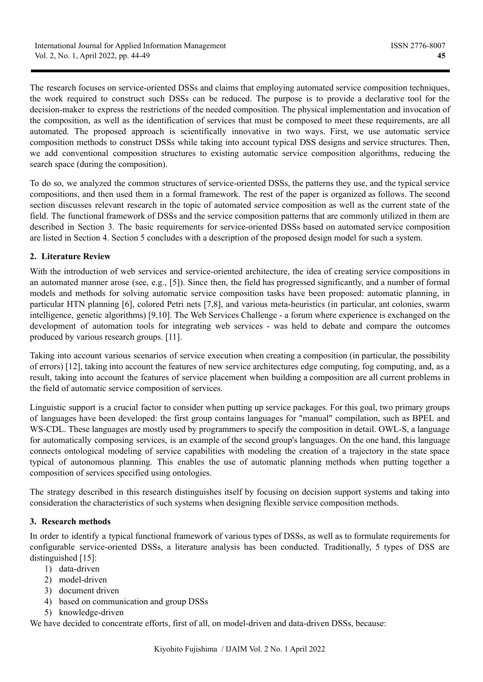The research focuses on service-oriented DSSs and claims that employing automated service composition techniques, the work required to construct such DSSs can be reduced. The purpose is to provide a declarative tool for the decision-maker to express the restrictions of the needed composition. The physical implementation and invocation of the composition, as well as the identification of services that must be composed to meet these requirements, are all automated. The proposed approach is scientifically innovative in two ways. First, we use automatic service composition methods to construct DSSs while taking into account typical DSS designs and service structures. Then, we add conventional composition structures to existing automatic service composition algorithms, reducing the search space (during the composition).

To do so, we analyzed the common structures of service-oriented DSSs, the patterns they use, and the typical service compositions, and then used them in a formal framework. The rest of the paper is organized as follows. The second section discusses relevant research in the topic of automated service composition as well as the current state of the field. The functional framework of DSSs and the service composition patterns that are commonly utilized in them are described in Section 3. The basic requirements for service-oriented DSSs based on automated service composition are listed in Section 4. Section 5 concludes with a description of the proposed design model for such a system.

# **2. Literature Review**

With the introduction of web services and service-oriented architecture, the idea of creating service compositions in an automated manner arose (see, e.g., [5]). Since then, the field has progressed significantly, and a number of formal models and methods for solving automatic service composition tasks have been proposed: automatic planning, in particular HTN planning [6], colored Petri nets [7,8], and various meta-heuristics (in particular, ant colonies, swarm intelligence, genetic algorithms) [9,10]. The Web Services Challenge - a forum where experience is exchanged on the development of automation tools for integrating web services - was held to debate and compare the outcomes produced by various research groups. [11].

Taking into account various scenarios of service execution when creating a composition (in particular, the possibility of errors) [12], taking into account the features of new service architectures edge computing, fog computing, and, as a result, taking into account the features of service placement when building a composition are all current problems in the field of automatic service composition of services.

Linguistic support is a crucial factor to consider when putting up service packages. For this goal, two primary groups of languages have been developed: the first group contains languages for "manual" compilation, such as BPEL and WS-CDL. These languages are mostly used by programmers to specify the composition in detail. OWL-S, a language for automatically composing services, is an example of the second group's languages. On the one hand, this language connects ontological modeling of service capabilities with modeling the creation of a trajectory in the state space typical of autonomous planning. This enables the use of automatic planning methods when putting together a composition of services specified using ontologies.

The strategy described in this research distinguishes itself by focusing on decision support systems and taking into consideration the characteristics of such systems when designing flexible service composition methods.

# **3. Research methods**

In order to identify a typical functional framework of various types of DSSs, as well as to formulate requirements for configurable service-oriented DSSs, a literature analysis has been conducted. Traditionally, 5 types of DSS are distinguished [15]:

- 1) data-driven
- 2) model-driven
- 3) document driven
- 4) based on communication and group DSSs
- 5) knowledge-driven

We have decided to concentrate efforts, first of all, on model-driven and data-driven DSSs, because: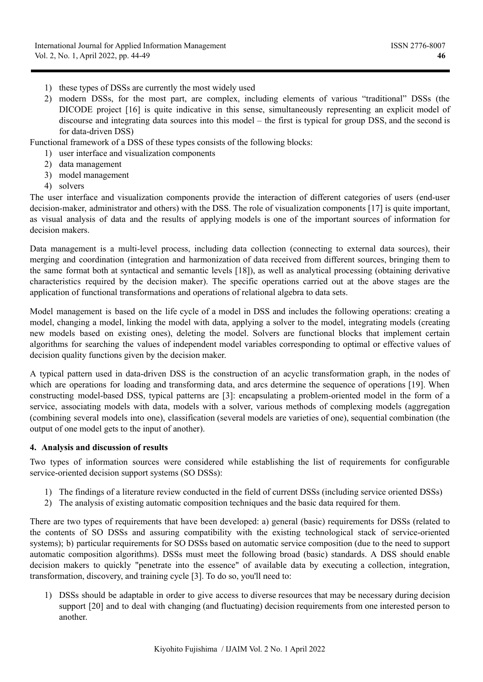- 1) these types of DSSs are currently the most widely used
- 2) modern DSSs, for the most part, are complex, including elements of various "traditional" DSSs (the DICODE project [16] is quite indicative in this sense, simultaneously representing an explicit model of discourse and integrating data sources into this model – the first is typical for group DSS, and the second is for data-driven DSS)

Functional framework of a DSS of these types consists of the following blocks:

1) user interface and visualization components

- 2) data management
- 3) model management
- 4) solvers

The user interface and visualization components provide the interaction of different categories of users (end-user decision-maker, administrator and others) with the DSS. The role of visualization components [17] is quite important, as visual analysis of data and the results of applying models is one of the important sources of information for decision makers.

Data management is a multi-level process, including data collection (connecting to external data sources), their merging and coordination (integration and harmonization of data received from different sources, bringing them to the same format both at syntactical and semantic levels [18]), as well as analytical processing (obtaining derivative characteristics required by the decision maker). The specific operations carried out at the above stages are the application of functional transformations and operations of relational algebra to data sets.

Model management is based on the life cycle of a model in DSS and includes the following operations: creating a model, changing a model, linking the model with data, applying a solver to the model, integrating models (creating new models based on existing ones), deleting the model. Solvers are functional blocks that implement certain algorithms for searching the values of independent model variables corresponding to optimal or effective values of decision quality functions given by the decision maker.

A typical pattern used in data-driven DSS is the construction of an acyclic transformation graph, in the nodes of which are operations for loading and transforming data, and arcs determine the sequence of operations [19]. When constructing model-based DSS, typical patterns are [3]: encapsulating a problem-oriented model in the form of a service, associating models with data, models with a solver, various methods of complexing models (aggregation (combining several models into one), classification (several models are varieties of one), sequential combination (the output of one model gets to the input of another).

#### **4. Analysis and discussion of results**

Two types of information sources were considered while establishing the list of requirements for configurable service-oriented decision support systems (SO DSSs):

- 1) The findings of a literature review conducted in the field of current DSSs (including service oriented DSSs)
- 2) The analysis of existing automatic composition techniques and the basic data required for them.

There are two types of requirements that have been developed: a) general (basic) requirements for DSSs (related to the contents of SO DSSs and assuring compatibility with the existing technological stack of service-oriented systems); b) particular requirements for SO DSSs based on automatic service composition (due to the need to support automatic composition algorithms). DSSs must meet the following broad (basic) standards. A DSS should enable decision makers to quickly "penetrate into the essence" of available data by executing a collection, integration, transformation, discovery, and training cycle [3]. To do so, you'll need to:

1) DSSs should be adaptable in order to give access to diverse resources that may be necessary during decision support [20] and to deal with changing (and fluctuating) decision requirements from one interested person to another.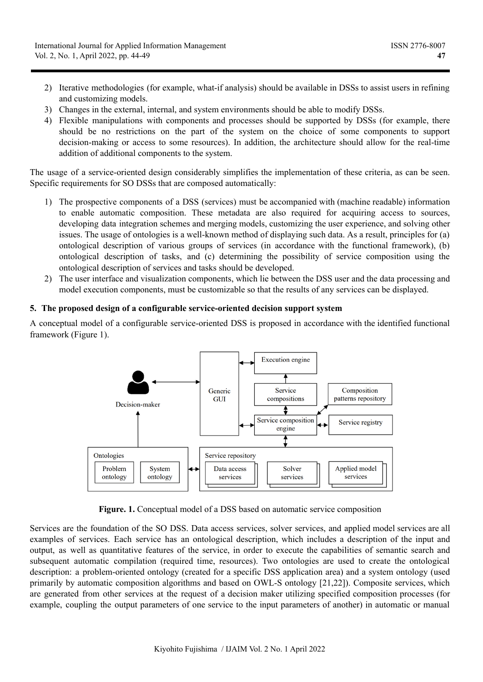- 2) Iterative methodologies (for example, what-if analysis) should be available in DSSs to assist users in refining and customizing models.
- 3) Changes in the external, internal, and system environments should be able to modify DSSs.
- 4) Flexible manipulations with components and processes should be supported by DSSs (for example, there should be no restrictions on the part of the system on the choice of some components to support decision-making or access to some resources). In addition, the architecture should allow for the real-time addition of additional components to the system.

The usage of a service-oriented design considerably simplifies the implementation of these criteria, as can be seen. Specific requirements for SO DSSs that are composed automatically:

- 1) The prospective components of a DSS (services) must be accompanied with (machine readable) information to enable automatic composition. These metadata are also required for acquiring access to sources, developing data integration schemes and merging models, customizing the user experience, and solving other issues. The usage of ontologies is a well-known method of displaying such data. As a result, principles for (a) ontological description of various groups of services (in accordance with the functional framework), (b) ontological description of tasks, and (c) determining the possibility of service composition using the ontological description of services and tasks should be developed.
- 2) The user interface and visualization components, which lie between the DSS user and the data processing and model execution components, must be customizable so that the results of any services can be displayed.

# **5. The proposed design of a configurable service-oriented decision support system**

A conceptual model of a configurable service-oriented DSS is proposed in accordance with the identified functional framework (Figure 1).



**Figure. 1.** Conceptual model of a DSS based on automatic service composition

Services are the foundation of the SO DSS. Data access services, solver services, and applied model services are all examples of services. Each service has an ontological description, which includes a description of the input and output, as well as quantitative features of the service, in order to execute the capabilities of semantic search and subsequent automatic compilation (required time, resources). Two ontologies are used to create the ontological description: a problem-oriented ontology (created for a specific DSS application area) and a system ontology (used primarily by automatic composition algorithms and based on OWL-S ontology [21,22]). Composite services, which are generated from other services at the request of a decision maker utilizing specified composition processes (for example, coupling the output parameters of one service to the input parameters of another) in automatic or manual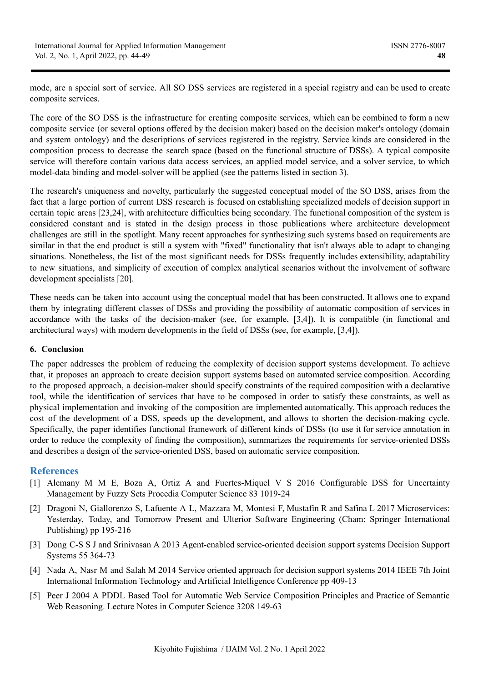mode, are a special sort of service. All SO DSS services are registered in a special registry and can be used to create composite services.

The core of the SO DSS is the infrastructure for creating composite services, which can be combined to form a new composite service (or several options offered by the decision maker) based on the decision maker's ontology (domain and system ontology) and the descriptions of services registered in the registry. Service kinds are considered in the composition process to decrease the search space (based on the functional structure of DSSs). A typical composite service will therefore contain various data access services, an applied model service, and a solver service, to which model-data binding and model-solver will be applied (see the patterns listed in section 3).

The research's uniqueness and novelty, particularly the suggested conceptual model of the SO DSS, arises from the fact that a large portion of current DSS research is focused on establishing specialized models of decision support in certain topic areas [23,24], with architecture difficulties being secondary. The functional composition of the system is considered constant and is stated in the design process in those publications where architecture development challenges are still in the spotlight. Many recent approaches for synthesizing such systems based on requirements are similar in that the end product is still a system with "fixed" functionality that isn't always able to adapt to changing situations. Nonetheless, the list of the most significant needs for DSSs frequently includes extensibility, adaptability to new situations, and simplicity of execution of complex analytical scenarios without the involvement of software development specialists [20].

These needs can be taken into account using the conceptual model that has been constructed. It allows one to expand them by integrating different classes of DSSs and providing the possibility of automatic composition of services in accordance with the tasks of the decision-maker (see, for example, [3,4]). It is compatible (in functional and architectural ways) with modern developments in the field of DSSs (see, for example, [3,4]).

#### **6. Conclusion**

The paper addresses the problem of reducing the complexity of decision support systems development. To achieve that, it proposes an approach to create decision support systems based on automated service composition. According to the proposed approach, a decision-maker should specify constraints of the required composition with a declarative tool, while the identification of services that have to be composed in order to satisfy these constraints, as well as physical implementation and invoking of the composition are implemented automatically. This approach reduces the cost of the development of a DSS, speeds up the development, and allows to shorten the decision-making cycle. Specifically, the paper identifies functional framework of different kinds of DSSs (to use it for service annotation in order to reduce the complexity of finding the composition), summarizes the requirements for service-oriented DSSs and describes a design of the service-oriented DSS, based on automatic service composition.

# **References**

- [1] Alemany M M E, Boza A, Ortiz A and Fuertes-Miquel V S 2016 Configurable DSS for Uncertainty Management by Fuzzy Sets Procedia Computer Science 83 1019-24
- [2] Dragoni N, Giallorenzo S, Lafuente A L, Mazzara M, Montesi F, Mustafin R and Safina L 2017 Microservices: Yesterday, Today, and Tomorrow Present and Ulterior Software Engineering (Cham: Springer International Publishing) pp 195-216
- [3] Dong C-S S J and Srinivasan A 2013 Agent-enabled service-oriented decision support systems Decision Support Systems 55 364-73
- [4] Nada A, Nasr M and Salah M 2014 Service oriented approach for decision support systems 2014 IEEE 7th Joint International Information Technology and Artificial Intelligence Conference pp 409-13
- [5] Peer J 2004 A PDDL Based Tool for Automatic Web Service Composition Principles and Practice of Semantic Web Reasoning. Lecture Notes in Computer Science 3208 149-63